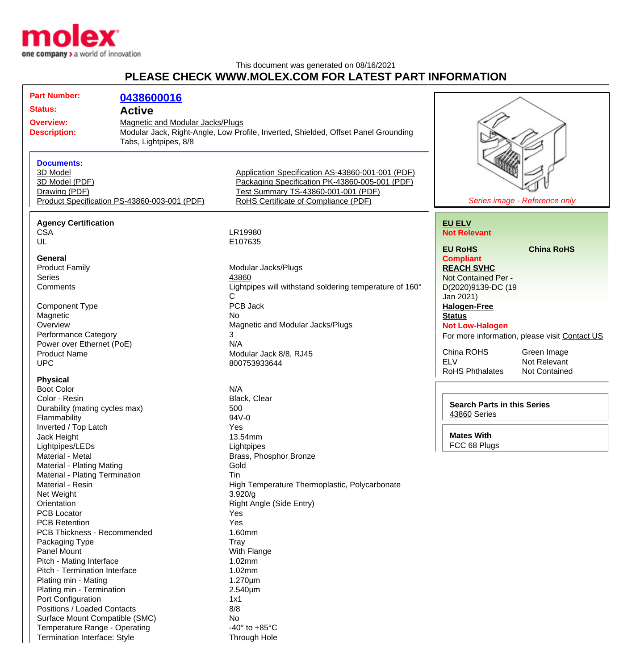

Termination Interface: Style Through Hole

## This document was generated on 08/16/2021 **PLEASE CHECK WWW.MOLEX.COM FOR LATEST PART INFORMATION**

| <b>Part Number:</b>                                         | 0438600016            |                                                                                    |                                      |                                               |
|-------------------------------------------------------------|-----------------------|------------------------------------------------------------------------------------|--------------------------------------|-----------------------------------------------|
| <b>Status:</b>                                              |                       |                                                                                    |                                      |                                               |
| <b>Active</b>                                               |                       |                                                                                    |                                      |                                               |
| <b>Magnetic and Modular Jacks/Plugs</b><br><b>Overview:</b> |                       |                                                                                    |                                      |                                               |
| <b>Description:</b>                                         |                       | Modular Jack, Right-Angle, Low Profile, Inverted, Shielded, Offset Panel Grounding |                                      |                                               |
|                                                             | Tabs, Lightpipes, 8/8 |                                                                                    |                                      |                                               |
| <b>Documents:</b>                                           |                       |                                                                                    |                                      |                                               |
| 3D Model                                                    |                       | Application Specification AS-43860-001-001 (PDF)                                   |                                      |                                               |
| 3D Model (PDF)                                              |                       | Packaging Specification PK-43860-005-001 (PDF)                                     |                                      |                                               |
| Drawing (PDF)                                               |                       | Test Summary TS-43860-001-001 (PDF)                                                |                                      |                                               |
| Product Specification PS-43860-003-001 (PDF)                |                       | RoHS Certificate of Compliance (PDF)                                               | Series image - Reference only        |                                               |
|                                                             |                       |                                                                                    |                                      |                                               |
| <b>Agency Certification</b>                                 |                       |                                                                                    | <b>EU ELV</b>                        |                                               |
| <b>CSA</b>                                                  |                       | LR19980                                                                            | <b>Not Relevant</b>                  |                                               |
| UL                                                          |                       | E107635                                                                            |                                      |                                               |
|                                                             |                       |                                                                                    | <b>EU RoHS</b>                       | <b>China RoHS</b>                             |
| General                                                     |                       |                                                                                    | <b>Compliant</b>                     |                                               |
| <b>Product Family</b>                                       |                       | Modular Jacks/Plugs                                                                | <b>REACH SVHC</b>                    |                                               |
| <b>Series</b>                                               |                       | 43860                                                                              | Not Contained Per -                  |                                               |
| Comments                                                    |                       | Lightpipes will withstand soldering temperature of 160°                            | D(2020)9139-DC (19                   |                                               |
|                                                             |                       | C                                                                                  | Jan 2021)                            |                                               |
| <b>Component Type</b>                                       |                       | PCB Jack                                                                           | <b>Halogen-Free</b>                  |                                               |
| Magnetic                                                    |                       | No                                                                                 | <b>Status</b>                        |                                               |
| Overview                                                    |                       | Magnetic and Modular Jacks/Plugs                                                   | <b>Not Low-Halogen</b>               |                                               |
| <b>Performance Category</b>                                 |                       | 3                                                                                  |                                      | For more information, please visit Contact US |
| Power over Ethernet (PoE)                                   |                       | N/A                                                                                |                                      |                                               |
| <b>Product Name</b>                                         |                       | Modular Jack 8/8, RJ45                                                             | China ROHS                           | Green Image                                   |
| <b>UPC</b>                                                  |                       | 800753933644                                                                       | <b>ELV</b><br><b>RoHS Phthalates</b> | Not Relevant                                  |
| <b>Physical</b>                                             |                       |                                                                                    |                                      | <b>Not Contained</b>                          |
| <b>Boot Color</b>                                           |                       | N/A                                                                                |                                      |                                               |
| Color - Resin                                               |                       | Black, Clear                                                                       |                                      |                                               |
| Durability (mating cycles max)                              |                       | 500                                                                                | <b>Search Parts in this Series</b>   |                                               |
| Flammability                                                |                       | 94V-0                                                                              | 43860 Series                         |                                               |
| Inverted / Top Latch                                        |                       | Yes                                                                                |                                      |                                               |
| Jack Height                                                 |                       | 13.54mm                                                                            | <b>Mates With</b>                    |                                               |
| Lightpipes/LEDs                                             |                       | Lightpipes                                                                         | FCC 68 Plugs                         |                                               |
| Material - Metal                                            |                       | Brass, Phosphor Bronze                                                             |                                      |                                               |
| Material - Plating Mating                                   |                       | Gold                                                                               |                                      |                                               |
| Material - Plating Termination                              |                       | Tin                                                                                |                                      |                                               |
| Material - Resin                                            |                       | High Temperature Thermoplastic, Polycarbonate                                      |                                      |                                               |
| Net Weight                                                  |                       | 3.920/g                                                                            |                                      |                                               |
| Orientation                                                 |                       | Right Angle (Side Entry)                                                           |                                      |                                               |
| <b>PCB Locator</b>                                          |                       | Yes                                                                                |                                      |                                               |
| <b>PCB Retention</b>                                        |                       | Yes                                                                                |                                      |                                               |
| <b>PCB Thickness - Recommended</b>                          |                       | 1.60mm                                                                             |                                      |                                               |
| Packaging Type                                              |                       | <b>Tray</b>                                                                        |                                      |                                               |
| Panel Mount                                                 |                       | With Flange                                                                        |                                      |                                               |
| Pitch - Mating Interface                                    |                       | 1.02mm                                                                             |                                      |                                               |
| Pitch - Termination Interface                               |                       | 1.02mm                                                                             |                                      |                                               |
| Plating min - Mating                                        |                       | $1.270 \mu m$                                                                      |                                      |                                               |
| Plating min - Termination                                   |                       | 2.540µm                                                                            |                                      |                                               |
| Port Configuration<br>Positions / Loaded Contacts           |                       | 1x1                                                                                |                                      |                                               |
| Surface Mount Compatible (SMC)                              |                       | 8/8                                                                                |                                      |                                               |
| Temperature Range - Operating                               |                       | No<br>-40 $\degree$ to +85 $\degree$ C                                             |                                      |                                               |
|                                                             |                       |                                                                                    |                                      |                                               |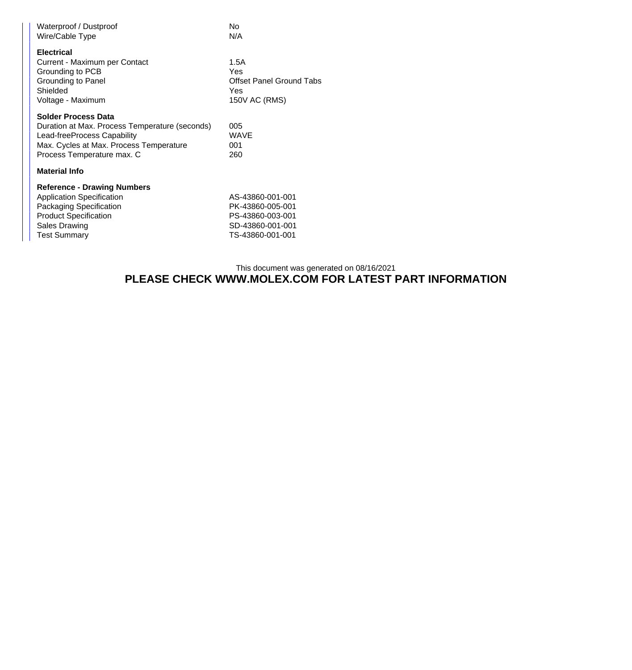| Waterproof / Dustproof<br>Wire/Cable Type                                                                                                                                            | No.<br>N/A                                                                                       |  |  |  |
|--------------------------------------------------------------------------------------------------------------------------------------------------------------------------------------|--------------------------------------------------------------------------------------------------|--|--|--|
| <b>Electrical</b><br>Current - Maximum per Contact<br>Grounding to PCB<br>Grounding to Panel<br>Shielded<br>Voltage - Maximum                                                        | 1.5A<br>Yes<br>Offset Panel Ground Tabs<br>Yes<br>150V AC (RMS)                                  |  |  |  |
| <b>Solder Process Data</b><br>Duration at Max. Process Temperature (seconds)<br>Lead-freeProcess Capability<br>Max. Cycles at Max. Process Temperature<br>Process Temperature max. C | 005<br><b>WAVE</b><br>001<br>260                                                                 |  |  |  |
| <b>Material Info</b>                                                                                                                                                                 |                                                                                                  |  |  |  |
| <b>Reference - Drawing Numbers</b><br><b>Application Specification</b><br>Packaging Specification<br><b>Product Specification</b><br><b>Sales Drawing</b><br><b>Test Summary</b>     | AS-43860-001-001<br>PK-43860-005-001<br>PS-43860-003-001<br>SD-43860-001-001<br>TS-43860-001-001 |  |  |  |

## This document was generated on 08/16/2021 **PLEASE CHECK WWW.MOLEX.COM FOR LATEST PART INFORMATION**